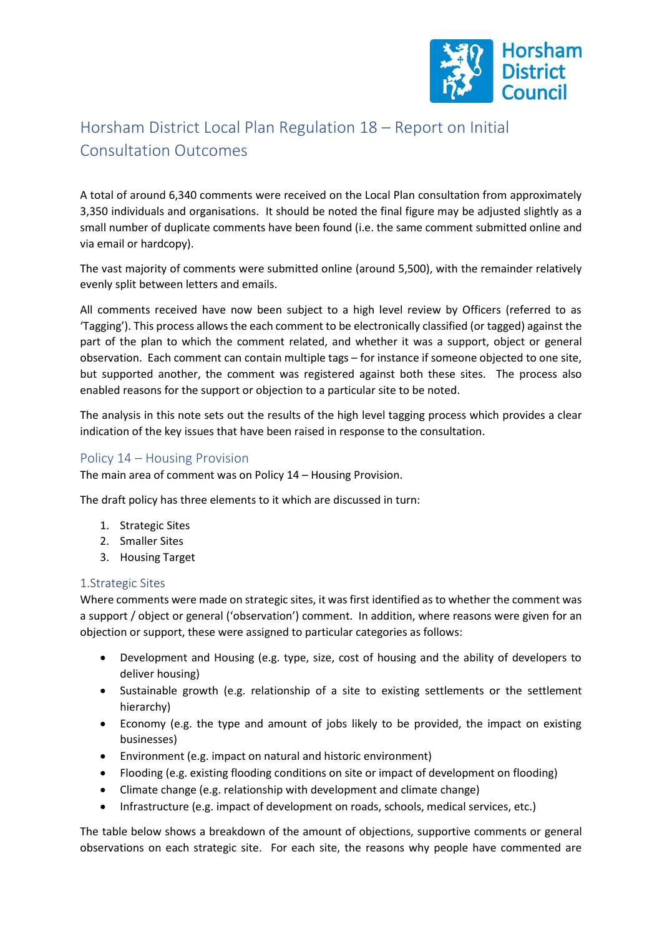

# Horsham District Local Plan Regulation 18 – Report on Initial Consultation Outcomes

A total of around 6,340 comments were received on the Local Plan consultation from approximately 3,350 individuals and organisations. It should be noted the final figure may be adjusted slightly as a small number of duplicate comments have been found (i.e. the same comment submitted online and via email or hardcopy).

The vast majority of comments were submitted online (around 5,500), with the remainder relatively evenly split between letters and emails.

All comments received have now been subject to a high level review by Officers (referred to as 'Tagging'). This process allows the each comment to be electronically classified (or tagged) against the part of the plan to which the comment related, and whether it was a support, object or general observation. Each comment can contain multiple tags – for instance if someone objected to one site, but supported another, the comment was registered against both these sites. The process also enabled reasons for the support or objection to a particular site to be noted.

The analysis in this note sets out the results of the high level tagging process which provides a clear indication of the key issues that have been raised in response to the consultation.

## Policy 14 – Housing Provision

The main area of comment was on Policy 14 – Housing Provision.

The draft policy has three elements to it which are discussed in turn:

- 1. Strategic Sites
- 2. Smaller Sites
- 3. Housing Target

#### 1.Strategic Sites

Where comments were made on strategic sites, it was first identified as to whether the comment was a support / object or general ('observation') comment. In addition, where reasons were given for an objection or support, these were assigned to particular categories as follows:

- Development and Housing (e.g. type, size, cost of housing and the ability of developers to deliver housing)
- Sustainable growth (e.g. relationship of a site to existing settlements or the settlement hierarchy)
- Economy (e.g. the type and amount of jobs likely to be provided, the impact on existing businesses)
- Environment (e.g. impact on natural and historic environment)
- Flooding (e.g. existing flooding conditions on site or impact of development on flooding)
- Climate change (e.g. relationship with development and climate change)
- Infrastructure (e.g. impact of development on roads, schools, medical services, etc.)

The table below shows a breakdown of the amount of objections, supportive comments or general observations on each strategic site. For each site, the reasons why people have commented are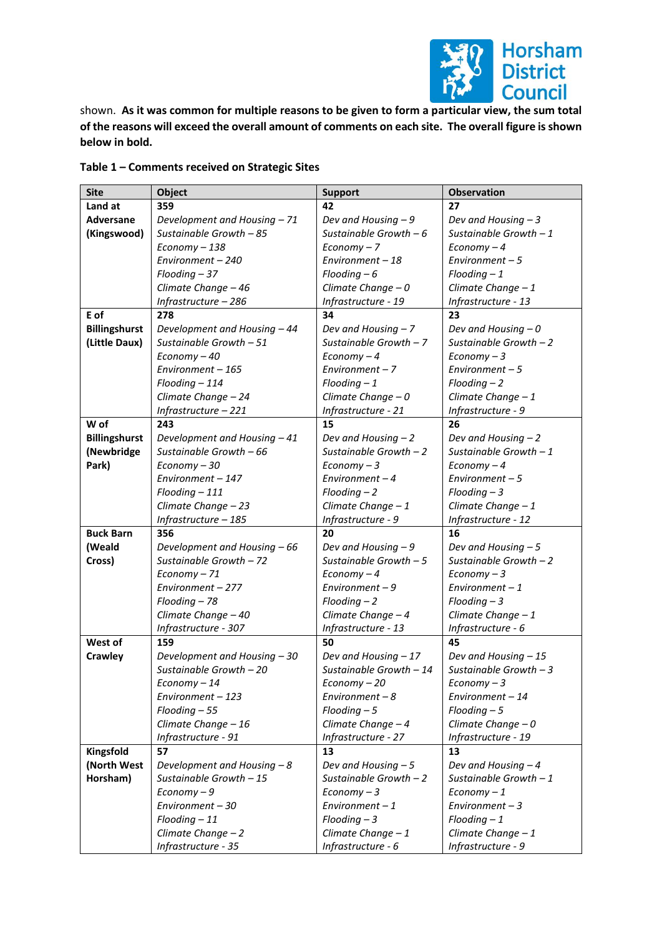

shown. **As it was common for multiple reasons to be given to form a particular view, the sum total of the reasons will exceed the overall amount of comments on each site. The overall figure is shown below in bold.**

| <b>Site</b>          | <b>Object</b>                | <b>Support</b>          | <b>Observation</b>      |  |
|----------------------|------------------------------|-------------------------|-------------------------|--|
| Land at              | 359                          | 42                      | 27                      |  |
| Adversane            | Development and Housing - 71 | Dev and Housing - 9     | Dev and Housing $-3$    |  |
| (Kingswood)          | Sustainable Growth - 85      | Sustainable Growth $-6$ | Sustainable Growth $-1$ |  |
|                      | Economy-138                  | $Economy - 7$           | $Economy-4$             |  |
|                      | Environment - 240            | Environment - 18        | Environment $-5$        |  |
|                      | $F$ looding $-37$            | $F$ looding $-6$        | $F$ looding $-1$        |  |
|                      | Climate Change - 46          | Climate Change $-0$     | Climate Change $-1$     |  |
|                      | Infrastructure - 286         | Infrastructure - 19     | Infrastructure - 13     |  |
| E of                 | 278                          | 34                      | 23                      |  |
| <b>Billingshurst</b> | Development and Housing - 44 | Dev and Housing - 7     | Dev and Housing $-0$    |  |
| (Little Daux)        | Sustainable Growth - 51      | Sustainable Growth - 7  | Sustainable Growth - 2  |  |
|                      | Economy - 40                 | $Economy-4$             | $Economy-3$             |  |
|                      | Environment - 165            | Environment-7           | $Environment - 5$       |  |
|                      | $F$ looding $-114$           | $F$ looding $-1$        | $F$ looding $-2$        |  |
|                      | Climate Change - 24          | Climate Change $-0$     | Climate Change - 1      |  |
|                      | Infrastructure - 221         | Infrastructure - 21     | Infrastructure - 9      |  |
| W of                 | 243                          | 15                      | 26                      |  |
| <b>Billingshurst</b> | Development and Housing - 41 | Dev and Housing $-2$    | Dev and Housing $-2$    |  |
| (Newbridge           | Sustainable Growth - 66      | Sustainable Growth $-2$ | Sustainable Growth $-1$ |  |
| Park)                | Economy - 30                 | $Economy-3$             | $Economy-4$             |  |
|                      | Environment - 147            | Environment $-4$        | Environment $-5$        |  |
|                      | Flooding-111                 | $F$ looding $-2$        | $F$ looding $-3$        |  |
|                      | Climate Change - 23          | Climate Change - 1      | Climate Change - 1      |  |
|                      | Infrastructure - 185         | Infrastructure - 9      | Infrastructure - 12     |  |
| <b>Buck Barn</b>     | 356                          | 20                      | 16                      |  |
| (Weald               | Development and Housing - 66 | Dev and Housing - 9     | Dev and Housing $-5$    |  |
| Cross)               | Sustainable Growth - 72      | Sustainable Growth $-5$ | Sustainable Growth $-2$ |  |
|                      | Economy-71                   | $Economy-4$             | $Economy-3$             |  |
|                      | Environment - 277            | Environment-9           | Environment $-1$        |  |
|                      | Flooding - 78                | $F$ looding $-2$        | $F$ looding $-3$        |  |
|                      | Climate Change - 40          | Climate Change - 4      | Climate Change - 1      |  |
|                      | Infrastructure - 307         | Infrastructure - 13     | Infrastructure - 6      |  |
| West of              | 159                          | 50                      | 45                      |  |
| Crawley              | Development and Housing - 30 | Dev and Housing - 17    | Dev and Housing - 15    |  |
|                      | Sustainable Growth - 20      | Sustainable Growth - 14 | Sustainable Growth $-3$ |  |
|                      | Economy - 14                 | Economy - 20            | $Economy-3$             |  |
|                      | Environment - 123            | Environment - 8         | Environment - 14        |  |
|                      | $F$ looding $-55$            | $F$ looding $-5$        | $F$ looding $-5$        |  |
|                      | Climate Change - 16          | Climate Change - 4      | Climate Change $-0$     |  |
|                      | Infrastructure - 91          | Infrastructure - 27     | Infrastructure - 19     |  |
| Kingsfold            | 57                           | 13                      | 13                      |  |
| (North West          | Development and Housing - 8  | Dev and Housing $-5$    | Dev and Housing - 4     |  |
| Horsham)             | Sustainable Growth - 15      | Sustainable Growth $-2$ | Sustainable Growth $-1$ |  |
|                      | Economy-9                    | $Economy-3$             | $Economy-1$             |  |
|                      | Environment - 30             | Environment $-1$        | Environment $-3$        |  |
|                      | $F$ looding $-11$            | $F$ looding $-3$        | $F$ looding $-1$        |  |
|                      | Climate Change - 2           | Climate Change $-1$     | Climate Change - 1      |  |
|                      | Infrastructure - 35          | Infrastructure - 6      | Infrastructure - 9      |  |

## **Table 1 – Comments received on Strategic Sites**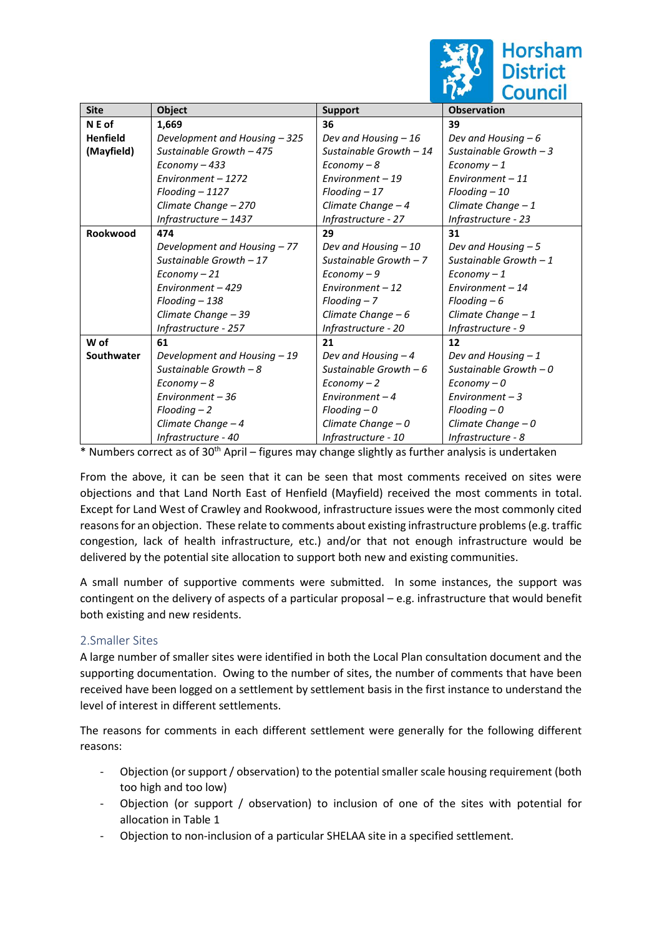

| <b>Site</b>     | Object                        | <b>Support</b>          | <b>Observation</b>      |  |
|-----------------|-------------------------------|-------------------------|-------------------------|--|
| N E of          | 1,669                         | 36                      | 39                      |  |
| <b>Henfield</b> | Development and Housing - 325 | Dev and Housing $-16$   | Dev and Housing $-6$    |  |
| (Mayfield)      | Sustainable Growth - 475      | Sustainable Growth - 14 | Sustainable Growth $-3$ |  |
|                 | Economy - 433                 | $Economy-8$             | $Economy-1$             |  |
|                 | Environment - 1272            | Environment - 19        | Environment $-11$       |  |
|                 | Flooding - 1127               | $F$ looding $-17$       | $F$ looding $-10$       |  |
|                 | Climate Change - 270          | Climate Change $-4$     | Climate Change $-1$     |  |
|                 | Infrastructure - 1437         | Infrastructure - 27     | Infrastructure - 23     |  |
| Rookwood        | 474                           | 29                      | 31                      |  |
|                 | Development and Housing - 77  | Dev and Housing - 10    | Dev and Housing $-5$    |  |
|                 | Sustainable Growth - 17       | Sustainable Growth $-7$ | Sustainable Growth $-1$ |  |
|                 | Economy - 21                  | $Economy-9$             | $Economy-1$             |  |
|                 | Environment - 429             | Environment $-12$       | Environment $-14$       |  |
|                 | Flooding - 138                | $F$ looding $-7$        | $F$ looding $-6$        |  |
|                 | Climate Change - 39           | Climate Change $-6$     | Climate Change - 1      |  |
|                 | Infrastructure - 257          | Infrastructure - 20     | Infrastructure - 9      |  |
| W of            | 61                            | 21                      | 12                      |  |
| Southwater      | Development and Housing - 19  | Dev and Housing $-4$    | Dev and Housing $-1$    |  |
|                 | Sustainable Growth $-8$       | Sustainable Growth $-6$ | Sustainable Growth $-0$ |  |
|                 | $Economy-8$                   | $Economy - 2$           | $Economy - 0$           |  |
|                 | Environment - 36              | Environment $-4$        | Environment $-3$        |  |
|                 | $F$ looding $-2$              | $F$ looding $-0$        | $F$ looding $-0$        |  |
|                 | Climate Change - 4            | Climate Change $-0$     | Climate Change - 0      |  |
|                 | Infrastructure - 40           | Infrastructure - 10     | Infrastructure - 8      |  |

 $*$  Numbers correct as of 30<sup>th</sup> April – figures may change slightly as further analysis is undertaken

From the above, it can be seen that it can be seen that most comments received on sites were objections and that Land North East of Henfield (Mayfield) received the most comments in total. Except for Land West of Crawley and Rookwood, infrastructure issues were the most commonly cited reasons for an objection. These relate to comments about existing infrastructure problems (e.g. traffic congestion, lack of health infrastructure, etc.) and/or that not enough infrastructure would be delivered by the potential site allocation to support both new and existing communities.

A small number of supportive comments were submitted. In some instances, the support was contingent on the delivery of aspects of a particular proposal – e.g. infrastructure that would benefit both existing and new residents.

# 2.Smaller Sites

A large number of smaller sites were identified in both the Local Plan consultation document and the supporting documentation. Owing to the number of sites, the number of comments that have been received have been logged on a settlement by settlement basis in the first instance to understand the level of interest in different settlements.

The reasons for comments in each different settlement were generally for the following different reasons:

- Objection (or support / observation) to the potential smaller scale housing requirement (both too high and too low)
- Objection (or support / observation) to inclusion of one of the sites with potential for allocation in Table 1
- Objection to non-inclusion of a particular SHELAA site in a specified settlement.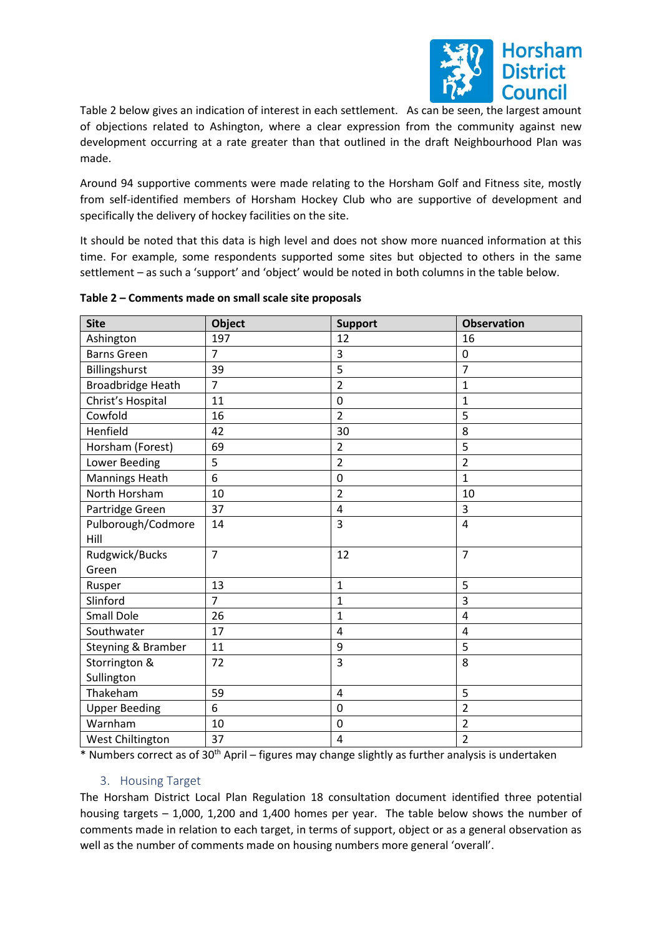

Table 2 below gives an indication of interest in each settlement. As can be seen, the largest amount of objections related to Ashington, where a clear expression from the community against new development occurring at a rate greater than that outlined in the draft Neighbourhood Plan was made.

Around 94 supportive comments were made relating to the Horsham Golf and Fitness site, mostly from self-identified members of Horsham Hockey Club who are supportive of development and specifically the delivery of hockey facilities on the site.

It should be noted that this data is high level and does not show more nuanced information at this time. For example, some respondents supported some sites but objected to others in the same settlement – as such a 'support' and 'object' would be noted in both columns in the table below.

| <b>Site</b>              | <b>Object</b>  | <b>Support</b> | <b>Observation</b> |
|--------------------------|----------------|----------------|--------------------|
| Ashington                | 197            | 12             | 16                 |
| <b>Barns Green</b>       | $\overline{7}$ | 3              | $\mathbf 0$        |
| Billingshurst            | 39             | 5              | $\overline{7}$     |
| <b>Broadbridge Heath</b> | $\overline{7}$ | $\overline{2}$ | $\mathbf{1}$       |
| Christ's Hospital        | 11             | 0              | $\mathbf 1$        |
| Cowfold                  | 16             | $\overline{2}$ | 5                  |
| Henfield                 | 42             | 30             | 8                  |
| Horsham (Forest)         | 69             | $\overline{2}$ | 5                  |
| Lower Beeding            | 5              | $\overline{2}$ | $\overline{2}$     |
| <b>Mannings Heath</b>    | $\overline{6}$ | 0              | $\mathbf{1}$       |
| North Horsham            | 10             | $\overline{2}$ | 10                 |
| Partridge Green          | 37             | 4              | 3                  |
| Pulborough/Codmore       | 14             | 3              | $\overline{4}$     |
| Hill                     |                |                |                    |
| Rudgwick/Bucks           | $\overline{7}$ | 12             | $\overline{7}$     |
| Green                    |                |                |                    |
| Rusper                   | 13             | $\mathbf{1}$   | 5                  |
| Slinford                 | $\overline{7}$ | $\mathbf{1}$   | 3                  |
| <b>Small Dole</b>        | 26             | $\mathbf{1}$   | 4                  |
| Southwater               | 17             | $\overline{4}$ | 4                  |
| Steyning & Bramber       | 11             | 9              | 5                  |
| Storrington &            | 72             | 3              | 8                  |
| Sullington               |                |                |                    |
| Thakeham                 | 59             | 4              | 5                  |
| <b>Upper Beeding</b>     | 6              | 0              | $\overline{2}$     |
| Warnham                  | 10             | 0              | $\overline{2}$     |
| West Chiltington         | 37             | 4              | $\overline{2}$     |

#### **Table 2 – Comments made on small scale site proposals**

\* Numbers correct as of 30th April – figures may change slightly as further analysis is undertaken

#### 3. Housing Target

The Horsham District Local Plan Regulation 18 consultation document identified three potential housing targets – 1,000, 1,200 and 1,400 homes per year. The table below shows the number of comments made in relation to each target, in terms of support, object or as a general observation as well as the number of comments made on housing numbers more general 'overall'.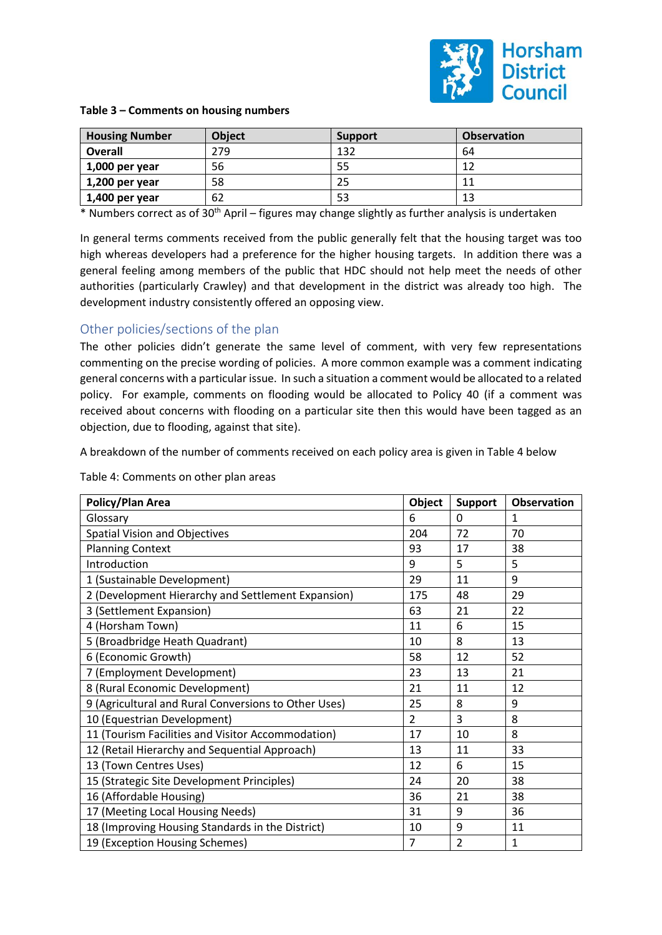

| <b>Housing Number</b> | <b>Object</b> | <b>Support</b> | <b>Observation</b> |
|-----------------------|---------------|----------------|--------------------|
| <b>Overall</b>        | 279           | 132            | 64                 |
| $1,000$ per year      | 56            | 55             | 12                 |
| $1,200$ per year      | 58            | 25             | 11                 |
| 1,400 per year        | 62            | 53             | 13                 |

\* Numbers correct as of 30th April – figures may change slightly as further analysis is undertaken

In general terms comments received from the public generally felt that the housing target was too high whereas developers had a preference for the higher housing targets. In addition there was a general feeling among members of the public that HDC should not help meet the needs of other authorities (particularly Crawley) and that development in the district was already too high. The development industry consistently offered an opposing view.

## Other policies/sections of the plan

The other policies didn't generate the same level of comment, with very few representations commenting on the precise wording of policies. A more common example was a comment indicating general concerns with a particular issue. In such a situation a comment would be allocated to a related policy. For example, comments on flooding would be allocated to Policy 40 (if a comment was received about concerns with flooding on a particular site then this would have been tagged as an objection, due to flooding, against that site).

A breakdown of the number of comments received on each policy area is given in Table 4 below

Table 4: Comments on other plan areas

| Policy/Plan Area                                     | Object         | <b>Support</b> | <b>Observation</b> |
|------------------------------------------------------|----------------|----------------|--------------------|
| Glossary                                             | 6              | 0              | 1                  |
| <b>Spatial Vision and Objectives</b>                 | 204            | 72             | 70                 |
| <b>Planning Context</b>                              | 93             | 17             | 38                 |
| Introduction                                         | 9              | 5              | 5                  |
| 1 (Sustainable Development)                          | 29             | 11             | 9                  |
| 2 (Development Hierarchy and Settlement Expansion)   | 175            | 48             | 29                 |
| 3 (Settlement Expansion)                             | 63             | 21             | 22                 |
| 4 (Horsham Town)                                     | 11             | 6              | 15                 |
| 5 (Broadbridge Heath Quadrant)                       | 10             | 8              | 13                 |
| 6 (Economic Growth)                                  | 58             | 12             | 52                 |
| 7 (Employment Development)                           | 23             | 13             | 21                 |
| 8 (Rural Economic Development)                       | 21             | 11             | 12                 |
| 9 (Agricultural and Rural Conversions to Other Uses) | 25             | 8              | 9                  |
| 10 (Equestrian Development)                          | $\overline{2}$ | 3              | 8                  |
| 11 (Tourism Facilities and Visitor Accommodation)    | 17             | 10             | 8                  |
| 12 (Retail Hierarchy and Sequential Approach)        | 13             | 11             | 33                 |
| 13 (Town Centres Uses)                               | 12             | 6              | 15                 |
| 15 (Strategic Site Development Principles)           | 24             | 20             | 38                 |
| 16 (Affordable Housing)                              | 36             | 21             | 38                 |
| 17 (Meeting Local Housing Needs)                     | 31             | 9              | 36                 |
| 18 (Improving Housing Standards in the District)     | 10             | 9              | 11                 |
| 19 (Exception Housing Schemes)                       | 7              | $\overline{2}$ | $\mathbf{1}$       |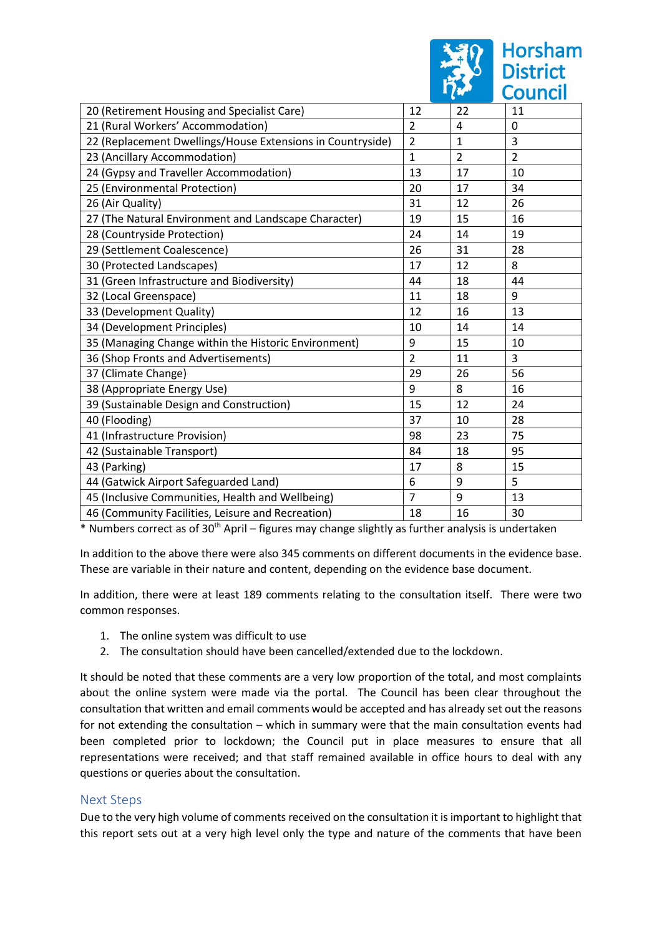|                                                            |                |                | <b>Council</b> |
|------------------------------------------------------------|----------------|----------------|----------------|
| 20 (Retirement Housing and Specialist Care)                | 12             | 22             | 11             |
| 21 (Rural Workers' Accommodation)                          | $\overline{2}$ | 4              | 0              |
| 22 (Replacement Dwellings/House Extensions in Countryside) | $\overline{2}$ | $\mathbf{1}$   | 3              |
| 23 (Ancillary Accommodation)                               | $\mathbf{1}$   | $\overline{2}$ | $\overline{2}$ |
| 24 (Gypsy and Traveller Accommodation)                     | 13             | 17             | 10             |
| 25 (Environmental Protection)                              | 20             | 17             | 34             |
| 26 (Air Quality)                                           | 31             | 12             | 26             |
| 27 (The Natural Environment and Landscape Character)       | 19             | 15             | 16             |
| 28 (Countryside Protection)                                | 24             | 14             | 19             |
| 29 (Settlement Coalescence)                                | 26             | 31             | 28             |
| 30 (Protected Landscapes)                                  | 17             | 12             | 8              |
| 31 (Green Infrastructure and Biodiversity)                 | 44             | 18             | 44             |
| 32 (Local Greenspace)                                      | 11             | 18             | 9              |
| 33 (Development Quality)                                   | 12             | 16             | 13             |
| 34 (Development Principles)                                | 10             | 14             | 14             |
| 35 (Managing Change within the Historic Environment)       | 9              | 15             | 10             |
| 36 (Shop Fronts and Advertisements)                        | $\overline{2}$ | 11             | 3              |
| 37 (Climate Change)                                        | 29             | 26             | 56             |
| 38 (Appropriate Energy Use)                                | 9              | 8              | 16             |
| 39 (Sustainable Design and Construction)                   | 15             | 12             | 24             |
| 40 (Flooding)                                              | 37             | 10             | 28             |
| 41 (Infrastructure Provision)                              | 98             | 23             | 75             |
| 42 (Sustainable Transport)                                 | 84             | 18             | 95             |
| 43 (Parking)                                               | 17             | 8              | 15             |
| 44 (Gatwick Airport Safeguarded Land)                      | 6              | 9              | 5              |
| 45 (Inclusive Communities, Health and Wellbeing)           | 7              | 9              | 13             |
| 46 (Community Facilities, Leisure and Recreation)          | 18             | 16             | 30             |

**Horsham**<br>District

\* Numbers correct as of 30th April – figures may change slightly as further analysis is undertaken

In addition to the above there were also 345 comments on different documents in the evidence base. These are variable in their nature and content, depending on the evidence base document.

In addition, there were at least 189 comments relating to the consultation itself. There were two common responses.

- 1. The online system was difficult to use
- 2. The consultation should have been cancelled/extended due to the lockdown.

It should be noted that these comments are a very low proportion of the total, and most complaints about the online system were made via the portal. The Council has been clear throughout the consultation that written and email comments would be accepted and has already set out the reasons for not extending the consultation – which in summary were that the main consultation events had been completed prior to lockdown; the Council put in place measures to ensure that all representations were received; and that staff remained available in office hours to deal with any questions or queries about the consultation.

# Next Steps

Due to the very high volume of comments received on the consultation it is important to highlight that this report sets out at a very high level only the type and nature of the comments that have been